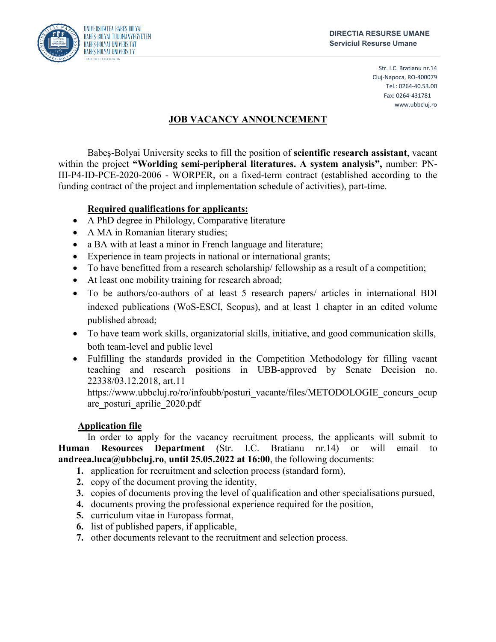

Str. I.C. Bratianu nr.14 Cluj-Napoca, RO-400079 Tel.: 0264-40.53.00 Fax: 0264-431781 www.ubbcluj.ro

# **JOB VACANCY ANNOUNCEMENT**

Babeş-Bolyai University seeks to fill the position of **scientific research assistant**, vacant within the project **"Worlding semi-peripheral literatures. A system analysis",** number: PN-III-P4-ID-PCE-2020-2006 - WORPER, on a fixed-term contract (established according to the funding contract of the project and implementation schedule of activities), part-time.

## **Required qualifications for applicants:**

- A PhD degree in Philology, Comparative literature
- A MA in Romanian literary studies;
- a BA with at least a minor in French language and literature;
- Experience in team projects in national or international grants;
- To have benefitted from a research scholarship/ fellowship as a result of a competition;
- At least one mobility training for research abroad;
- To be authors/co-authors of at least 5 research papers/ articles in international BDI indexed publications (WoS-ESCI, Scopus), and at least 1 chapter in an edited volume published abroad;
- To have team work skills, organizatorial skills, initiative, and good communication skills, both team-level and public level
- Fulfilling the standards provided in the Competition Methodology for filling vacant teaching and research positions in UBB-approved by Senate Decision no. 22338/03.12.2018, art.11

https://www.ubbcluj.ro/ro/infoubb/posturi\_vacante/files/METODOLOGIE\_concurs\_ocup are\_posturi\_aprilie\_2020.pdf

## **Application file**

In order to apply for the vacancy recruitment process, the applicants will submit to **Human Resources Department** (Str. I.C. Bratianu nr.14) or will email to **andreea.luca@ubbcluj.ro**, **until 25.05.2022 at 16:00**, the following documents:

- **1.** application for recruitment and selection process (standard form),
- **2.** copy of the document proving the identity,
- **3.** copies of documents proving the level of qualification and other specialisations pursued,
- **4.** documents proving the professional experience required for the position,
- **5.** curriculum vitae in Europass format,
- **6.** list of published papers, if applicable,
- **7.** other documents relevant to the recruitment and selection process.